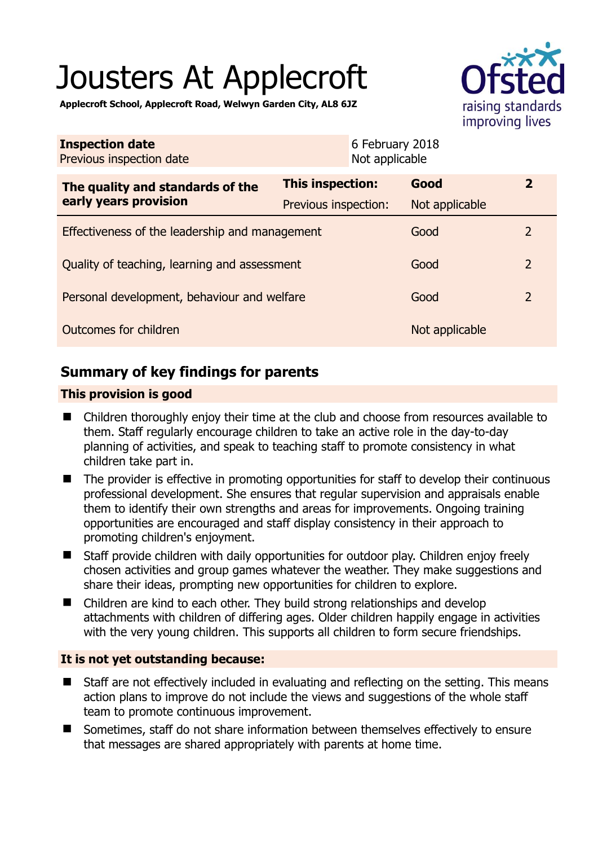# Jousters At Applecroft



**Applecroft School, Applecroft Road, Welwyn Garden City, AL8 6JZ** 

| <b>Inspection date</b><br>Previous inspection date        |                         | 6 February 2018<br>Not applicable |                |                         |
|-----------------------------------------------------------|-------------------------|-----------------------------------|----------------|-------------------------|
| The quality and standards of the<br>early years provision | <b>This inspection:</b> |                                   | Good           | $\overline{\mathbf{2}}$ |
|                                                           | Previous inspection:    |                                   | Not applicable |                         |
| Effectiveness of the leadership and management            |                         |                                   | Good           | $\mathcal{P}$           |
| Quality of teaching, learning and assessment              |                         |                                   | Good           | $\overline{2}$          |
| Personal development, behaviour and welfare               |                         |                                   | Good           | $\overline{2}$          |
| Outcomes for children                                     |                         |                                   | Not applicable |                         |

# **Summary of key findings for parents**

## **This provision is good**

- Children thoroughly enjoy their time at the club and choose from resources available to them. Staff regularly encourage children to take an active role in the day-to-day planning of activities, and speak to teaching staff to promote consistency in what children take part in.
- The provider is effective in promoting opportunities for staff to develop their continuous professional development. She ensures that regular supervision and appraisals enable them to identify their own strengths and areas for improvements. Ongoing training opportunities are encouraged and staff display consistency in their approach to promoting children's enjoyment.
- Staff provide children with daily opportunities for outdoor play. Children enjoy freely chosen activities and group games whatever the weather. They make suggestions and share their ideas, prompting new opportunities for children to explore.
- Children are kind to each other. They build strong relationships and develop attachments with children of differing ages. Older children happily engage in activities with the very young children. This supports all children to form secure friendships.

## **It is not yet outstanding because:**

- Staff are not effectively included in evaluating and reflecting on the setting. This means action plans to improve do not include the views and suggestions of the whole staff team to promote continuous improvement.
- Sometimes, staff do not share information between themselves effectively to ensure that messages are shared appropriately with parents at home time.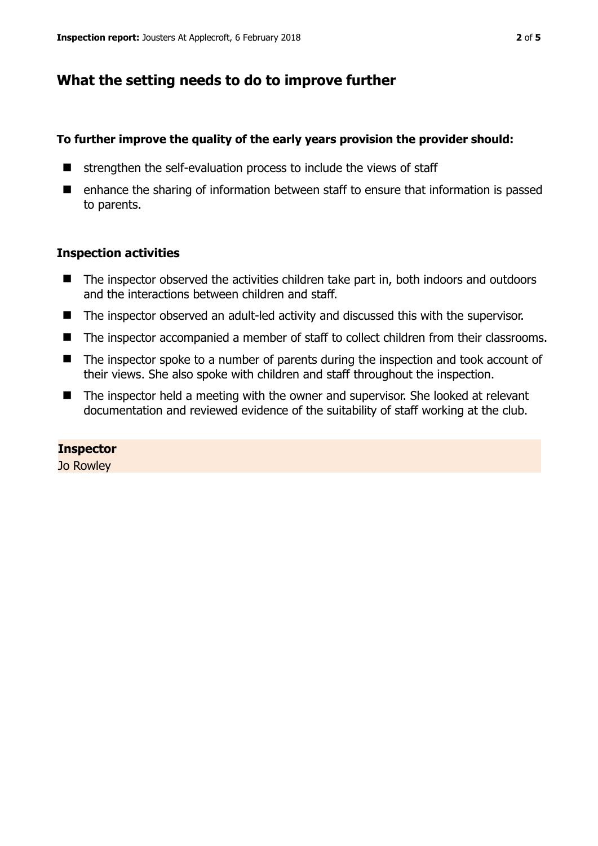# **What the setting needs to do to improve further**

#### **To further improve the quality of the early years provision the provider should:**

- $\blacksquare$  strengthen the self-evaluation process to include the views of staff
- enhance the sharing of information between staff to ensure that information is passed to parents.

#### **Inspection activities**

- The inspector observed the activities children take part in, both indoors and outdoors and the interactions between children and staff.
- The inspector observed an adult-led activity and discussed this with the supervisor.
- The inspector accompanied a member of staff to collect children from their classrooms.
- The inspector spoke to a number of parents during the inspection and took account of their views. She also spoke with children and staff throughout the inspection.
- The inspector held a meeting with the owner and supervisor. She looked at relevant documentation and reviewed evidence of the suitability of staff working at the club.

## **Inspector**

Jo Rowley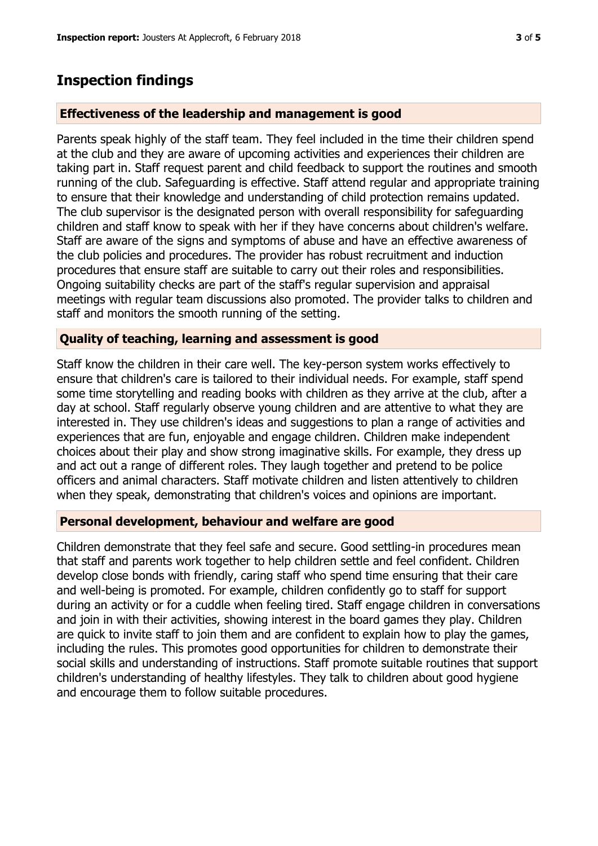## **Inspection findings**

#### **Effectiveness of the leadership and management is good**

Parents speak highly of the staff team. They feel included in the time their children spend at the club and they are aware of upcoming activities and experiences their children are taking part in. Staff request parent and child feedback to support the routines and smooth running of the club. Safeguarding is effective. Staff attend regular and appropriate training to ensure that their knowledge and understanding of child protection remains updated. The club supervisor is the designated person with overall responsibility for safeguarding children and staff know to speak with her if they have concerns about children's welfare. Staff are aware of the signs and symptoms of abuse and have an effective awareness of the club policies and procedures. The provider has robust recruitment and induction procedures that ensure staff are suitable to carry out their roles and responsibilities. Ongoing suitability checks are part of the staff's regular supervision and appraisal meetings with regular team discussions also promoted. The provider talks to children and staff and monitors the smooth running of the setting.

#### **Quality of teaching, learning and assessment is good**

Staff know the children in their care well. The key-person system works effectively to ensure that children's care is tailored to their individual needs. For example, staff spend some time storytelling and reading books with children as they arrive at the club, after a day at school. Staff regularly observe young children and are attentive to what they are interested in. They use children's ideas and suggestions to plan a range of activities and experiences that are fun, enjoyable and engage children. Children make independent choices about their play and show strong imaginative skills. For example, they dress up and act out a range of different roles. They laugh together and pretend to be police officers and animal characters. Staff motivate children and listen attentively to children when they speak, demonstrating that children's voices and opinions are important.

#### **Personal development, behaviour and welfare are good**

Children demonstrate that they feel safe and secure. Good settling-in procedures mean that staff and parents work together to help children settle and feel confident. Children develop close bonds with friendly, caring staff who spend time ensuring that their care and well-being is promoted. For example, children confidently go to staff for support during an activity or for a cuddle when feeling tired. Staff engage children in conversations and join in with their activities, showing interest in the board games they play. Children are quick to invite staff to join them and are confident to explain how to play the games, including the rules. This promotes good opportunities for children to demonstrate their social skills and understanding of instructions. Staff promote suitable routines that support children's understanding of healthy lifestyles. They talk to children about good hygiene and encourage them to follow suitable procedures.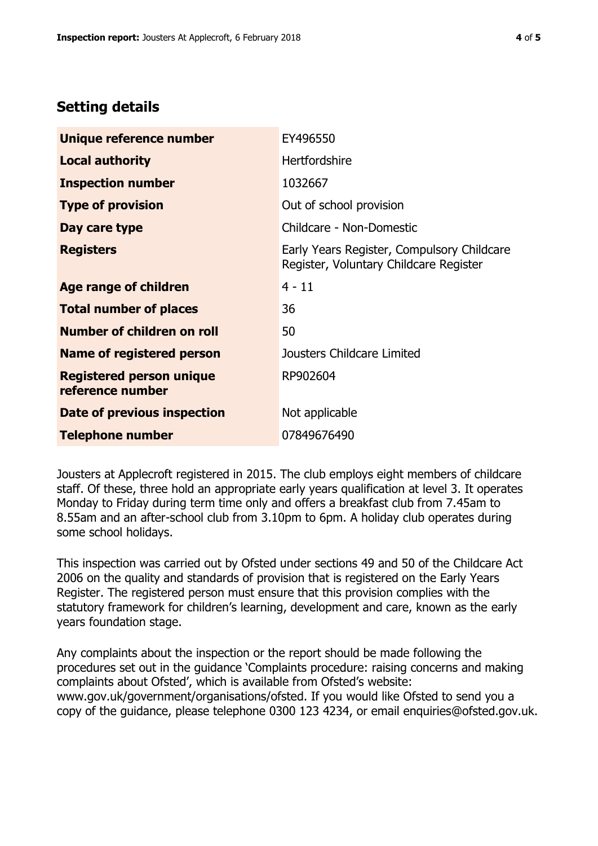# **Setting details**

| Unique reference number                             | EY496550                                                                             |  |
|-----------------------------------------------------|--------------------------------------------------------------------------------------|--|
| <b>Local authority</b>                              | <b>Hertfordshire</b>                                                                 |  |
| <b>Inspection number</b>                            | 1032667                                                                              |  |
| <b>Type of provision</b>                            | Out of school provision                                                              |  |
| Day care type                                       | Childcare - Non-Domestic                                                             |  |
| <b>Registers</b>                                    | Early Years Register, Compulsory Childcare<br>Register, Voluntary Childcare Register |  |
| <b>Age range of children</b>                        | $4 - 11$                                                                             |  |
| <b>Total number of places</b>                       | 36                                                                                   |  |
| Number of children on roll                          | 50                                                                                   |  |
| <b>Name of registered person</b>                    | Jousters Childcare Limited                                                           |  |
| <b>Registered person unique</b><br>reference number | RP902604                                                                             |  |
| <b>Date of previous inspection</b>                  | Not applicable                                                                       |  |
| <b>Telephone number</b>                             | 07849676490                                                                          |  |

Jousters at Applecroft registered in 2015. The club employs eight members of childcare staff. Of these, three hold an appropriate early years qualification at level 3. It operates Monday to Friday during term time only and offers a breakfast club from 7.45am to 8.55am and an after-school club from 3.10pm to 6pm. A holiday club operates during some school holidays.

This inspection was carried out by Ofsted under sections 49 and 50 of the Childcare Act 2006 on the quality and standards of provision that is registered on the Early Years Register. The registered person must ensure that this provision complies with the statutory framework for children's learning, development and care, known as the early years foundation stage.

Any complaints about the inspection or the report should be made following the procedures set out in the guidance 'Complaints procedure: raising concerns and making complaints about Ofsted', which is available from Ofsted's website: www.gov.uk/government/organisations/ofsted. If you would like Ofsted to send you a copy of the guidance, please telephone 0300 123 4234, or email enquiries@ofsted.gov.uk.